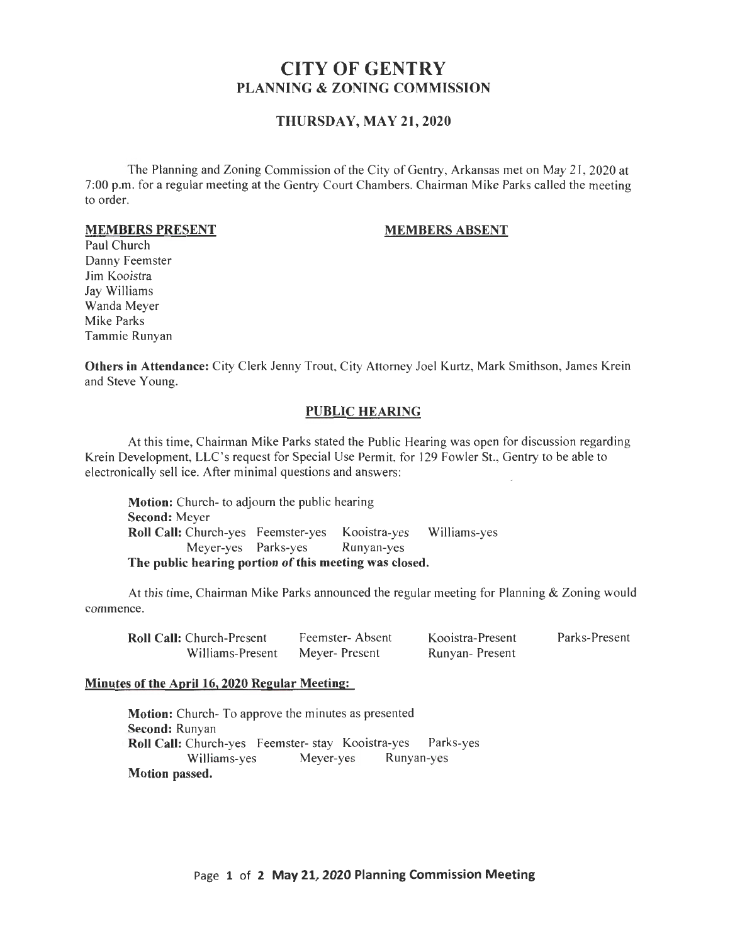# CITY OF GENTRY PLANNING & ZONING COMMISSION

## THURSDAY, MAY 21,2020

The Planning and Zoning Commission of the City of Gentry, Arkansas met on May 21, 2020 at 7:00 p.m. for a regular meeting at the Gentry Court Chambers. Chairman Mike Parks called the meeting to order.

#### MEMBERS PRESENT

#### MEMBERS ABSENT

Paul Church Danny Feemster Jim Kooistra Jay Williams Wanda Meyer Mike Parks Tammie Runyan

Others in Attendance: City Clerk Jenny Trout, City Attorney Joel Kurtz, Mark Smithson, James Krein and Steve Young.

#### PUBLIC HEARING

At this time, Chairman Mike Parks stated the Public Hearing was open for discussion regarding Krein Development, LLC's request for Special Use Permit, for 129 Fowler St., Gentry to be able to electronically sell ice. After minimal questions and answers:

Motion: Church- to adjourn the public hearing Second: Meyer Roll Call: Church-yes Feemster-yes Kooistra-yes Williams-yes Meyer-yes Parks-yes Runyan-yes The public hearing portion of this meeting was closed.

At this time, Chairman Mike Parks announced the regular meeting for Planning & Zoning would commence.

| <b>Roll Call:</b> Church-Present | Feemster-Absent | Kooistra-Present | Parks-Present |
|----------------------------------|-----------------|------------------|---------------|
| Williams-Present                 | Meyer-Present   | Runyan-Present   |               |

#### Minutes of the April 16, 2020 Regular Meeting:

Motion: Church- To approve the minutes as presented Second: Runyan Roll Call: Church-yes Feemster- stay Kooistra-yes Parks-yes<br>Williams-ves Meyer-yes Runyan-yes Williams-yes Meyer-yes Motion passed.